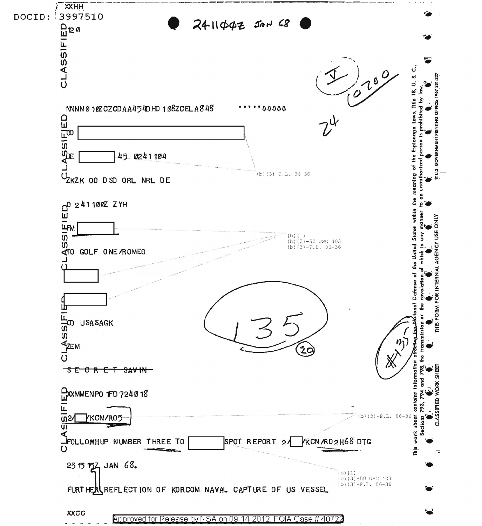